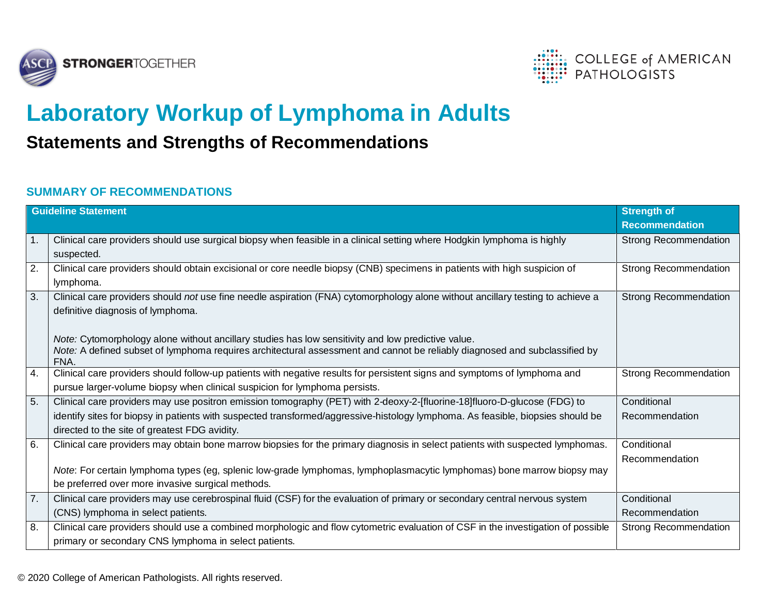



## **Laboratory Workup of Lymphoma in Adults**

## **Statements and Strengths of Recommendations**

## **SUMMARY OF RECOMMENDATIONS**

| <b>Guideline Statement</b> |                                                                                                                                    | Strength of                  |
|----------------------------|------------------------------------------------------------------------------------------------------------------------------------|------------------------------|
|                            |                                                                                                                                    | <b>Recommendation</b>        |
| 1.                         | Clinical care providers should use surgical biopsy when feasible in a clinical setting where Hodgkin lymphoma is highly            | <b>Strong Recommendation</b> |
|                            | suspected.                                                                                                                         |                              |
| 2.                         | Clinical care providers should obtain excisional or core needle biopsy (CNB) specimens in patients with high suspicion of          | <b>Strong Recommendation</b> |
|                            | lymphoma.                                                                                                                          |                              |
| 3.                         | Clinical care providers should not use fine needle aspiration (FNA) cytomorphology alone without ancillary testing to achieve a    | <b>Strong Recommendation</b> |
|                            | definitive diagnosis of lymphoma.                                                                                                  |                              |
|                            |                                                                                                                                    |                              |
|                            | Note: Cytomorphology alone without ancillary studies has low sensitivity and low predictive value.                                 |                              |
|                            | Note: A defined subset of lymphoma requires architectural assessment and cannot be reliably diagnosed and subclassified by<br>FNA. |                              |
| 4.                         | Clinical care providers should follow-up patients with negative results for persistent signs and symptoms of lymphoma and          | Strong Recommendation        |
|                            | pursue larger-volume biopsy when clinical suspicion for lymphoma persists.                                                         |                              |
| 5.                         | Clinical care providers may use positron emission tomography (PET) with 2-deoxy-2-[fluorine-18]fluoro-D-glucose (FDG) to           | Conditional                  |
|                            | identify sites for biopsy in patients with suspected transformed/aggressive-histology lymphoma. As feasible, biopsies should be    | Recommendation               |
|                            | directed to the site of greatest FDG avidity.                                                                                      |                              |
| 6.                         | Clinical care providers may obtain bone marrow biopsies for the primary diagnosis in select patients with suspected lymphomas.     | Conditional                  |
|                            |                                                                                                                                    | Recommendation               |
|                            | Note: For certain lymphoma types (eg, splenic low-grade lymphomas, lymphoplasmacytic lymphomas) bone marrow biopsy may             |                              |
|                            | be preferred over more invasive surgical methods.                                                                                  |                              |
| 7.                         | Clinical care providers may use cerebrospinal fluid (CSF) for the evaluation of primary or secondary central nervous system        | Conditional                  |
|                            | (CNS) lymphoma in select patients.                                                                                                 | Recommendation               |
| 8.                         | Clinical care providers should use a combined morphologic and flow cytometric evaluation of CSF in the investigation of possible   | Strong Recommendation        |
|                            | primary or secondary CNS lymphoma in select patients.                                                                              |                              |